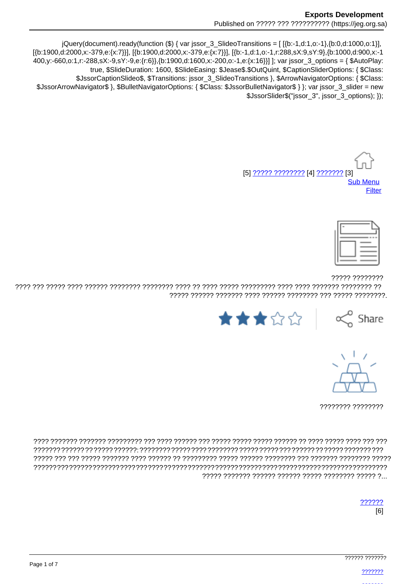jQuery(document).ready(function (\$) { var jssor\_3\_SlideoTransitions = [[{b:-1,d:1,o:-1},{b:0,d:1000,o:1}], [{b:1900.d:2000.x:-379.e:{x:7}}], [{b:1900.d:2000.x:-379.e:{x:7}}], [{b:-1.d:1.o:-1.r:288.sX:9.sY:9}, {b:1000.d:900.x:-1 400,y:-660,o:1,r:-288,sX:-9,sY:-9,e:{r:6}},{b:1900,d:1600,x:-200,o:-1,e:{x:16}}] ]; var jssor\_3\_options = {\$AutoPlay: true, \$SlideDuration: 1600, \$SlideEasing: \$Jease\$.\$OutQuint, \$CaptionSliderOptions: { \$Class: \$JssorCaptionSlideo\$, \$Transitions: jssor\_3\_SlideoTransitions }, \$ArrowNavigatorOptions: { \$Class: \$JssorArrowNavigator\$ }, \$BulletNavigatorOptions: { \$Class: \$JssorBulletNavigator\$ } }; var jssor\_3\_slider = new \$JssorSlider\$("jssor 3", jssor 3 options); });

> [5] <u>????? ?????????</u> [4] <u>???????</u> [3] **Sub Menu** Filter



77777 77777777

Share





???????? ????????

, דרכרר ררכורת רפורים רברכים רברכים רברכים רברכים רברכי

> ??????  $[6]$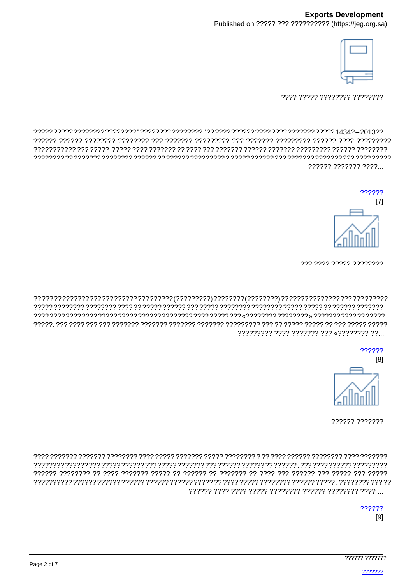

???? ????? ???????? ????????

?????? ??????? ????...



777 7777 77777 77777777

????????? ???? ??????? ??? «???????? ??...



?????? ???????

> 777777  $[9]$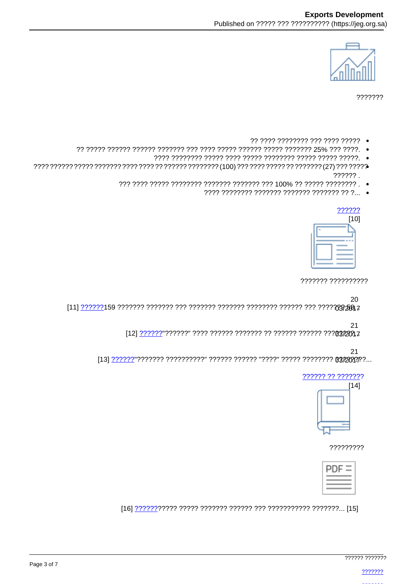

???????

- ?? ???? ???????? ??? ???? ????? •
- -
- ??????.
	- 727 7227 72227 7222727 7222727 7222727 727 100% 72 72727 72772727 .
		- ???? ???????? ??????? ??????? ??????? ?? ?...

|  | ??????<br>$[10]$ |
|--|------------------|
|  |                  |
|  |                  |

??????? ??????????

20

 $21$ 

 $21$ 

?????? ?? ???????



?????????

2222222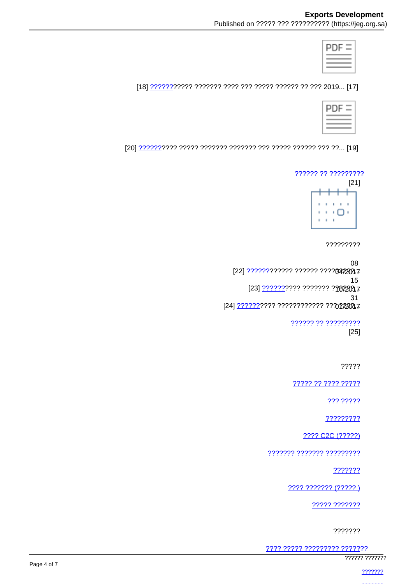| - 1<br>Ú<br>- |  |
|---------------|--|
| -             |  |

| ۰ |  |
|---|--|



?????????

```
08
[22] 22222222222222 222222 2222047
                       15
   [23] 22222222222 2222222 23822017
                       31
```
?????? ?? ?????????  $[25]$ 

?????

????? ?? ???? ?????

??? ?????

?????????

???? C2C (?????)

??????? ??????? ?????????

???????

<u>???? ??????? (????? )</u>

22222 2222222

???????

7777 77777 777777777 7777777

777777 7777777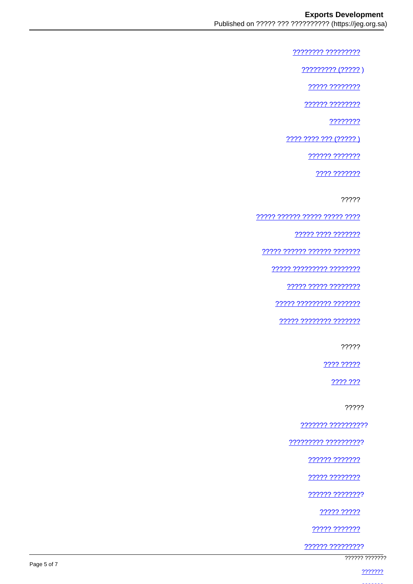???????? ?????????

????????? (????? )

????? ????????

?????? ????????

????????

???? ???? ??? (????? )

?????? ???????

???? ???????

?????

77777 777777 77777 77777 7777

????? ???? ???????

????? ?????? ?????? ???????

22222 222222222 22222222

<u> ????? ????? ?????????</u>

????? ????????? ???????

<u> ????? ???????? ???????</u>

?????

???? ?????

???? ???

?????

<u>??????? ??????????</u>

????????? ???????????

?????? ???????

????? ????????

?????? ????????

22222 22222

????? ???????

?????? ?????????

777777 7777777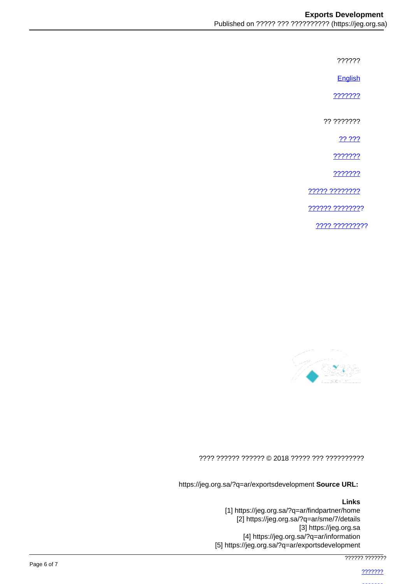??????

**[English](https://jeg.org.sa/)** 

[???????](https://jeg.org.sa/?q=ar)

?????????

[??? ??](https://jeg.org.sa/?q=ar/page/2)?

[???????](https://jeg.org.sa/?q=ar/void%280%29)

[???????](https://jeg.org.sa/?q=ar/void%280%29)

[???????? ?????](https://jeg.org.sa/?q=ar/page/4)

?[??????? ??????](https://jeg.org.sa/?q=ar/page/3)

??[??????? ????](https://jeg.org.sa/?q=ar/void%280%29)



?????????? ??? ????? 2018 © ?????? ?????? ????

https://jeg.org.sa/?q=ar/exportsdevelopment Source URL:

**Links**

[1] https://jeg.org.sa/?q=ar/findpartner/home [2] https://jeg.org.sa/?q=ar/sme/7/details [3] https://jeg.org.sa [4] https://jeg.org.sa/?q=ar/information [5] https://jeg.org.sa/?q=ar/exportsdevelopment

??????? ??????